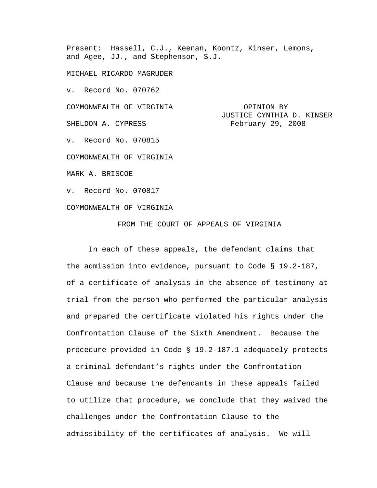Present: Hassell, C.J., Keenan, Koontz, Kinser, Lemons, and Agee, JJ., and Stephenson, S.J.

MICHAEL RICARDO MAGRUDER

v. Record No. 070762

COMMONWEALTH OF VIRGINIA **COMMONWEALTH** 

JUSTICE CYNTHIA D. KINSER SHELDON A. CYPRESS February 29, 2008

v. Record No. 070815

COMMONWEALTH OF VIRGINIA

MARK A. BRISCOE

v. Record No. 070817

COMMONWEALTH OF VIRGINIA

FROM THE COURT OF APPEALS OF VIRGINIA

In each of these appeals, the defendant claims that the admission into evidence, pursuant to Code § 19.2-187, of a certificate of analysis in the absence of testimony at trial from the person who performed the particular analysis and prepared the certificate violated his rights under the Confrontation Clause of the Sixth Amendment. Because the procedure provided in Code § 19.2-187.1 adequately protects a criminal defendant's rights under the Confrontation Clause and because the defendants in these appeals failed to utilize that procedure, we conclude that they waived the challenges under the Confrontation Clause to the admissibility of the certificates of analysis. We will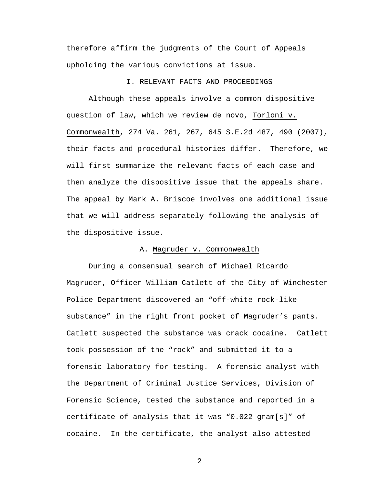therefore affirm the judgments of the Court of Appeals upholding the various convictions at issue.

## I. RELEVANT FACTS AND PROCEEDINGS

Although these appeals involve a common dispositive question of law, which we review de novo, Torloni v. Commonwealth, 274 Va. 261, 267, 645 S.E.2d 487, 490 (2007), their facts and procedural histories differ. Therefore, we will first summarize the relevant facts of each case and then analyze the dispositive issue that the appeals share. The appeal by Mark A. Briscoe involves one additional issue that we will address separately following the analysis of the dispositive issue.

### A. Magruder v. Commonwealth

During a consensual search of Michael Ricardo Magruder, Officer William Catlett of the City of Winchester Police Department discovered an "off-white rock-like substance" in the right front pocket of Magruder's pants. Catlett suspected the substance was crack cocaine. Catlett took possession of the "rock" and submitted it to a forensic laboratory for testing. A forensic analyst with the Department of Criminal Justice Services, Division of Forensic Science, tested the substance and reported in a certificate of analysis that it was "0.022 gram[s]" of cocaine. In the certificate, the analyst also attested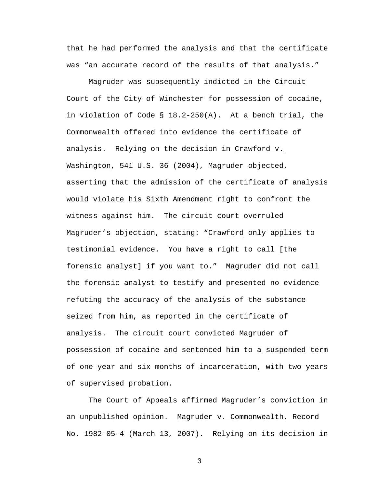that he had performed the analysis and that the certificate was "an accurate record of the results of that analysis."

Magruder was subsequently indicted in the Circuit Court of the City of Winchester for possession of cocaine, in violation of Code § 18.2-250(A). At a bench trial, the Commonwealth offered into evidence the certificate of analysis. Relying on the decision in Crawford v. Washington, 541 U.S. 36 (2004), Magruder objected, asserting that the admission of the certificate of analysis would violate his Sixth Amendment right to confront the witness against him. The circuit court overruled Magruder's objection, stating: "Crawford only applies to testimonial evidence. You have a right to call [the forensic analyst] if you want to." Magruder did not call the forensic analyst to testify and presented no evidence refuting the accuracy of the analysis of the substance seized from him, as reported in the certificate of analysis. The circuit court convicted Magruder of possession of cocaine and sentenced him to a suspended term of one year and six months of incarceration, with two years of supervised probation.

 The Court of Appeals affirmed Magruder's conviction in an unpublished opinion. Magruder v. Commonwealth, Record No. 1982-05-4 (March 13, 2007). Relying on its decision in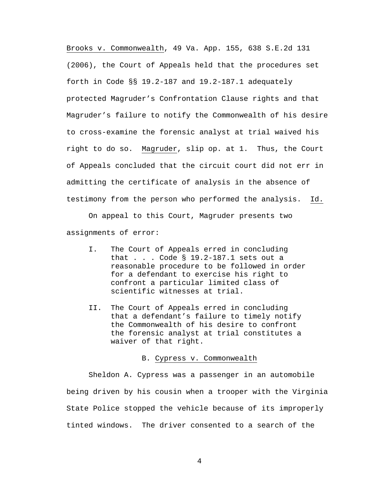Brooks v. Commonwealth, 49 Va. App. 155, 638 S.E.2d 131 (2006), the Court of Appeals held that the procedures set forth in Code §§ 19.2-187 and 19.2-187.1 adequately protected Magruder's Confrontation Clause rights and that Magruder's failure to notify the Commonwealth of his desire to cross-examine the forensic analyst at trial waived his right to do so. Magruder, slip op. at 1. Thus, the Court of Appeals concluded that the circuit court did not err in admitting the certificate of analysis in the absence of testimony from the person who performed the analysis. Id.

On appeal to this Court, Magruder presents two assignments of error:

- I. The Court of Appeals erred in concluding that . . . Code § 19.2-187.1 sets out a reasonable procedure to be followed in order for a defendant to exercise his right to confront a particular limited class of scientific witnesses at trial.
- II. The Court of Appeals erred in concluding that a defendant's failure to timely notify the Commonwealth of his desire to confront the forensic analyst at trial constitutes a waiver of that right.

#### B. Cypress v. Commonwealth

Sheldon A. Cypress was a passenger in an automobile being driven by his cousin when a trooper with the Virginia State Police stopped the vehicle because of its improperly tinted windows. The driver consented to a search of the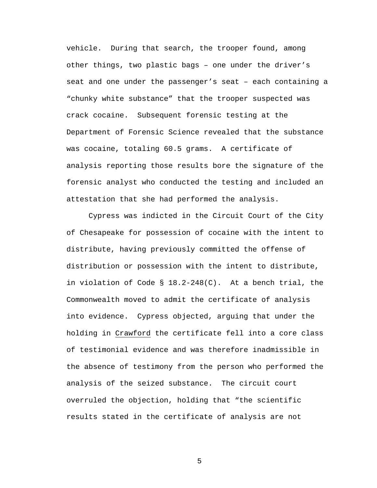vehicle. During that search, the trooper found, among other things, two plastic bags – one under the driver's seat and one under the passenger's seat – each containing a "chunky white substance" that the trooper suspected was crack cocaine. Subsequent forensic testing at the Department of Forensic Science revealed that the substance was cocaine, totaling 60.5 grams. A certificate of analysis reporting those results bore the signature of the forensic analyst who conducted the testing and included an attestation that she had performed the analysis.

Cypress was indicted in the Circuit Court of the City of Chesapeake for possession of cocaine with the intent to distribute, having previously committed the offense of distribution or possession with the intent to distribute, in violation of Code § 18.2-248(C). At a bench trial, the Commonwealth moved to admit the certificate of analysis into evidence. Cypress objected, arguing that under the holding in Crawford the certificate fell into a core class of testimonial evidence and was therefore inadmissible in the absence of testimony from the person who performed the analysis of the seized substance. The circuit court overruled the objection, holding that "the scientific results stated in the certificate of analysis are not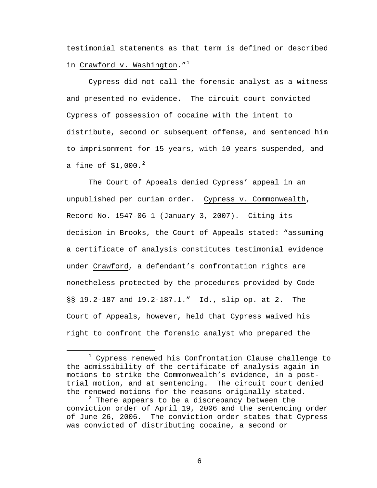testimonial statements as that term is defined or described in Crawford v. Washington."<sup>[1](#page-5-0)</sup>

Cypress did not call the forensic analyst as a witness and presented no evidence. The circuit court convicted Cypress of possession of cocaine with the intent to distribute, second or subsequent offense, and sentenced him to imprisonment for 15 years, with 10 years suspended, and a fine of  $$1,000.^2$  $$1,000.^2$ 

 The Court of Appeals denied Cypress' appeal in an unpublished per curiam order. Cypress v. Commonwealth, Record No. 1547-06-1 (January 3, 2007). Citing its decision in Brooks, the Court of Appeals stated: "assuming a certificate of analysis constitutes testimonial evidence under Crawford, a defendant's confrontation rights are nonetheless protected by the procedures provided by Code §§ 19.2-187 and 19.2-187.1." Id., slip op. at 2. The Court of Appeals, however, held that Cypress waived his right to confront the forensic analyst who prepared the

<span id="page-5-0"></span><sup>&</sup>lt;u>1</u>  $1$  Cypress renewed his Confrontation Clause challenge to the admissibility of the certificate of analysis again in motions to strike the Commonwealth's evidence, in a posttrial motion, and at sentencing. The circuit court denied the renewed motions for the reasons originally stated.

<span id="page-5-1"></span> $2$  There appears to be a discrepancy between the conviction order of April 19, 2006 and the sentencing order of June 26, 2006. The conviction order states that Cypress was convicted of distributing cocaine, a second or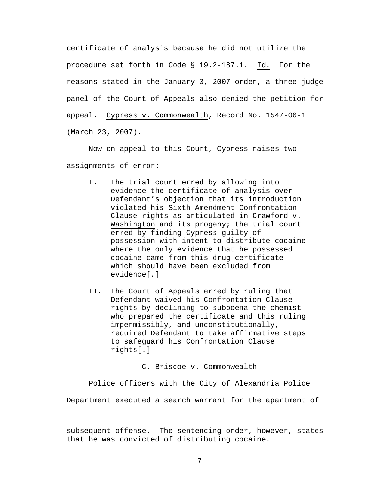certificate of analysis because he did not utilize the procedure set forth in Code § 19.2-187.1. Id. For the reasons stated in the January 3, 2007 order, a three-judge panel of the Court of Appeals also denied the petition for appeal. Cypress v. Commonwealth, Record No. 1547-06-1 (March 23, 2007).

Now on appeal to this Court, Cypress raises two assignments of error:

- I. The trial court erred by allowing into evidence the certificate of analysis over Defendant's objection that its introduction violated his Sixth Amendment Confrontation Clause rights as articulated in Crawford v. Washington and its progeny; the trial court erred by finding Cypress guilty of possession with intent to distribute cocaine where the only evidence that he possessed cocaine came from this drug certificate which should have been excluded from evidence[.]
- II. The Court of Appeals erred by ruling that Defendant waived his Confrontation Clause rights by declining to subpoena the chemist who prepared the certificate and this ruling impermissibly, and unconstitutionally, required Defendant to take affirmative steps to safeguard his Confrontation Clause rights[.]

## C. Briscoe v. Commonwealth

Police officers with the City of Alexandria Police

Department executed a search warrant for the apartment of

i<br>Li

subsequent offense. The sentencing order, however, states that he was convicted of distributing cocaine.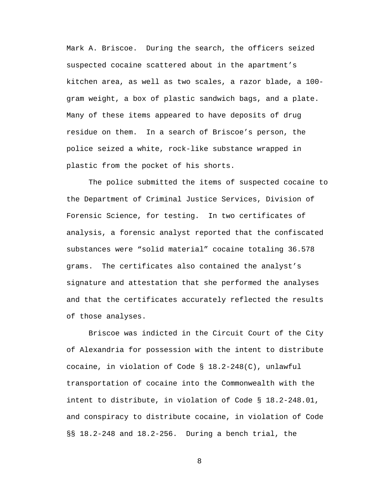Mark A. Briscoe. During the search, the officers seized suspected cocaine scattered about in the apartment's kitchen area, as well as two scales, a razor blade, a 100 gram weight, a box of plastic sandwich bags, and a plate. Many of these items appeared to have deposits of drug residue on them. In a search of Briscoe's person, the police seized a white, rock-like substance wrapped in plastic from the pocket of his shorts.

The police submitted the items of suspected cocaine to the Department of Criminal Justice Services, Division of Forensic Science, for testing. In two certificates of analysis, a forensic analyst reported that the confiscated substances were "solid material" cocaine totaling 36.578 grams. The certificates also contained the analyst's signature and attestation that she performed the analyses and that the certificates accurately reflected the results of those analyses.

Briscoe was indicted in the Circuit Court of the City of Alexandria for possession with the intent to distribute cocaine, in violation of Code § 18.2-248(C), unlawful transportation of cocaine into the Commonwealth with the intent to distribute, in violation of Code § 18.2-248.01, and conspiracy to distribute cocaine, in violation of Code §§ 18.2-248 and 18.2-256. During a bench trial, the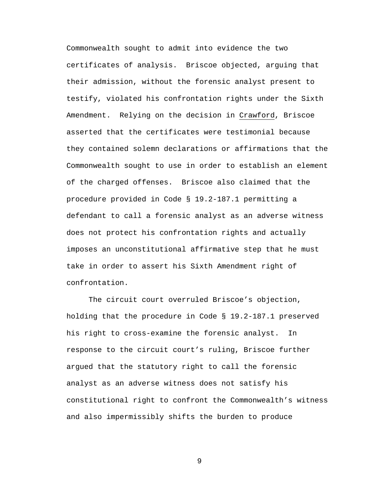Commonwealth sought to admit into evidence the two certificates of analysis. Briscoe objected, arguing that their admission, without the forensic analyst present to testify, violated his confrontation rights under the Sixth Amendment. Relying on the decision in Crawford, Briscoe asserted that the certificates were testimonial because they contained solemn declarations or affirmations that the Commonwealth sought to use in order to establish an element of the charged offenses. Briscoe also claimed that the procedure provided in Code § 19.2-187.1 permitting a defendant to call a forensic analyst as an adverse witness does not protect his confrontation rights and actually imposes an unconstitutional affirmative step that he must take in order to assert his Sixth Amendment right of confrontation.

The circuit court overruled Briscoe's objection, holding that the procedure in Code § 19.2-187.1 preserved his right to cross-examine the forensic analyst. In response to the circuit court's ruling, Briscoe further argued that the statutory right to call the forensic analyst as an adverse witness does not satisfy his constitutional right to confront the Commonwealth's witness and also impermissibly shifts the burden to produce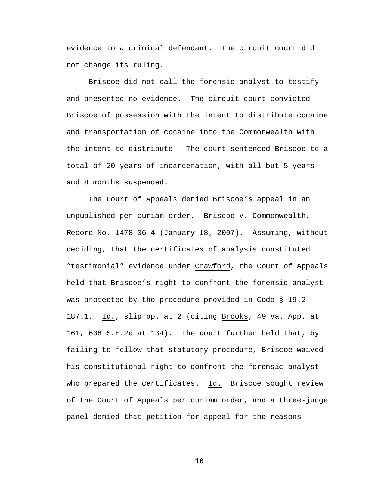evidence to a criminal defendant. The circuit court did not change its ruling.

Briscoe did not call the forensic analyst to testify and presented no evidence. The circuit court convicted Briscoe of possession with the intent to distribute cocaine and transportation of cocaine into the Commonwealth with the intent to distribute. The court sentenced Briscoe to a total of 20 years of incarceration, with all but 5 years and 8 months suspended.

 The Court of Appeals denied Briscoe's appeal in an unpublished per curiam order. Briscoe v. Commonwealth, Record No. 1478-06-4 (January 18, 2007). Assuming, without deciding, that the certificates of analysis constituted "testimonial" evidence under Crawford, the Court of Appeals held that Briscoe's right to confront the forensic analyst was protected by the procedure provided in Code § 19.2- 187.1. Id., slip op. at 2 (citing Brooks, 49 Va. App. at 161, 638 S.E.2d at 134). The court further held that, by failing to follow that statutory procedure, Briscoe waived his constitutional right to confront the forensic analyst who prepared the certificates. Id. Briscoe sought review of the Court of Appeals per curiam order, and a three-judge panel denied that petition for appeal for the reasons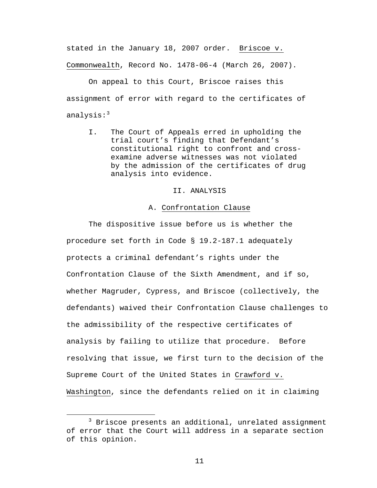stated in the January 18, 2007 order. Briscoe v. Commonwealth, Record No. 1478-06-4 (March 26, 2007).

On appeal to this Court, Briscoe raises this assignment of error with regard to the certificates of analysis: $3$ 

I. The Court of Appeals erred in upholding the trial court's finding that Defendant's constitutional right to confront and crossexamine adverse witnesses was not violated by the admission of the certificates of drug analysis into evidence.

# II. ANALYSIS

# A. Confrontation Clause

The dispositive issue before us is whether the procedure set forth in Code § 19.2-187.1 adequately protects a criminal defendant's rights under the Confrontation Clause of the Sixth Amendment, and if so, whether Magruder, Cypress, and Briscoe (collectively, the defendants) waived their Confrontation Clause challenges to the admissibility of the respective certificates of analysis by failing to utilize that procedure. Before resolving that issue, we first turn to the decision of the Supreme Court of the United States in Crawford v. Washington, since the defendants relied on it in claiming

<span id="page-10-0"></span> $\overline{\phantom{a}}$  3  $3$  Briscoe presents an additional, unrelated assignment of error that the Court will address in a separate section of this opinion.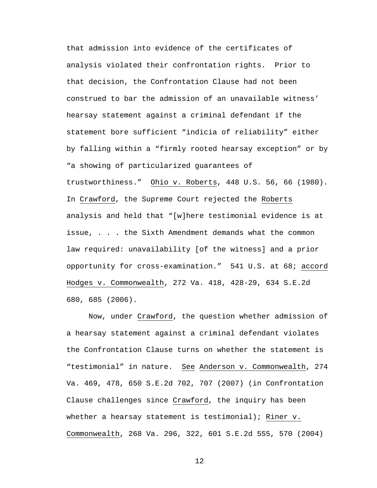that admission into evidence of the certificates of analysis violated their confrontation rights. Prior to that decision, the Confrontation Clause had not been construed to bar the admission of an unavailable witness' hearsay statement against a criminal defendant if the statement bore sufficient "indicia of reliability" either by falling within a "firmly rooted hearsay exception" or by "a showing of particularized guarantees of trustworthiness." Ohio v. Roberts, 448 U.S. 56, 66 (1980). In Crawford, the Supreme Court rejected the Roberts analysis and held that "[w]here testimonial evidence is at issue, . . . the Sixth Amendment demands what the common law required: unavailability [of the witness] and a prior opportunity for cross-examination." 541 U.S. at 68; accord Hodges v. Commonwealth, 272 Va. 418, 428-29, 634 S.E.2d 680, 685 (2006).

Now, under Crawford, the question whether admission of a hearsay statement against a criminal defendant violates the Confrontation Clause turns on whether the statement is "testimonial" in nature. See Anderson v. Commonwealth, 274 Va. 469, 478, 650 S.E.2d 702, 707 (2007) (in Confrontation Clause challenges since Crawford, the inquiry has been whether a hearsay statement is testimonial); Riner v. Commonwealth, 268 Va. 296, 322, 601 S.E.2d 555, 570 (2004)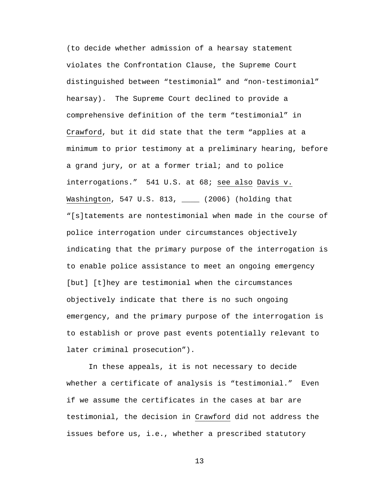(to decide whether admission of a hearsay statement violates the Confrontation Clause, the Supreme Court distinguished between "testimonial" and "non-testimonial" hearsay). The Supreme Court declined to provide a comprehensive definition of the term "testimonial" in Crawford, but it did state that the term "applies at a minimum to prior testimony at a preliminary hearing, before a grand jury, or at a former trial; and to police interrogations." 541 U.S. at 68; see also Davis v. Washington, 547 U.S. 813, \_\_\_\_ (2006) (holding that "[s]tatements are nontestimonial when made in the course of police interrogation under circumstances objectively indicating that the primary purpose of the interrogation is to enable police assistance to meet an ongoing emergency [but] [t]hey are testimonial when the circumstances objectively indicate that there is no such ongoing emergency, and the primary purpose of the interrogation is to establish or prove past events potentially relevant to later criminal prosecution").

In these appeals, it is not necessary to decide whether a certificate of analysis is "testimonial." Even if we assume the certificates in the cases at bar are testimonial, the decision in Crawford did not address the issues before us, i.e., whether a prescribed statutory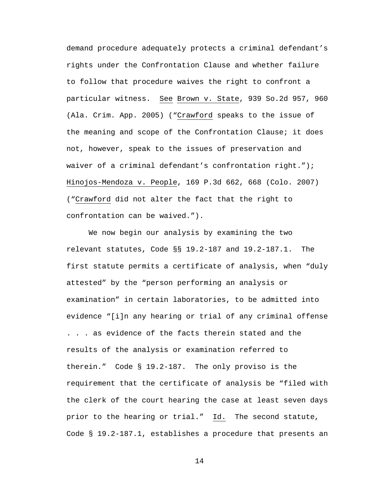demand procedure adequately protects a criminal defendant's rights under the Confrontation Clause and whether failure to follow that procedure waives the right to confront a particular witness. See Brown v. State, 939 So.2d 957, 960 (Ala. Crim. App. 2005) ("Crawford speaks to the issue of the meaning and scope of the Confrontation Clause; it does not, however, speak to the issues of preservation and waiver of a criminal defendant's confrontation right."); Hinojos-Mendoza v. People, 169 P.3d 662, 668 (Colo. 2007) ("Crawford did not alter the fact that the right to confrontation can be waived.").

We now begin our analysis by examining the two relevant statutes, Code §§ 19.2-187 and 19.2-187.1. The first statute permits a certificate of analysis, when "duly attested" by the "person performing an analysis or examination" in certain laboratories, to be admitted into evidence "[i]n any hearing or trial of any criminal offense . . . as evidence of the facts therein stated and the results of the analysis or examination referred to therein." Code § 19.2-187. The only proviso is the requirement that the certificate of analysis be "filed with the clerk of the court hearing the case at least seven days prior to the hearing or trial." Id. The second statute, Code § 19.2-187.1, establishes a procedure that presents an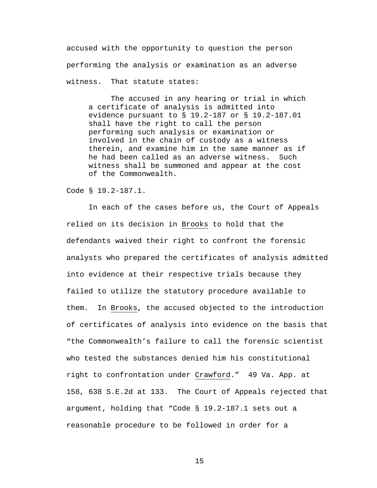accused with the opportunity to question the person performing the analysis or examination as an adverse witness. That statute states:

The accused in any hearing or trial in which a certificate of analysis is admitted into evidence pursuant to § 19.2-187 or § 19.2-187.01 shall have the right to call the person performing such analysis or examination or involved in the chain of custody as a witness therein, and examine him in the same manner as if he had been called as an adverse witness. Such witness shall be summoned and appear at the cost of the Commonwealth.

Code § 19.2-187.1.

In each of the cases before us, the Court of Appeals relied on its decision in Brooks to hold that the defendants waived their right to confront the forensic analysts who prepared the certificates of analysis admitted into evidence at their respective trials because they failed to utilize the statutory procedure available to them. In Brooks, the accused objected to the introduction of certificates of analysis into evidence on the basis that "the Commonwealth's failure to call the forensic scientist who tested the substances denied him his constitutional right to confrontation under Crawford." 49 Va. App. at 158, 638 S.E.2d at 133. The Court of Appeals rejected that argument, holding that "Code § 19.2-187.1 sets out a reasonable procedure to be followed in order for a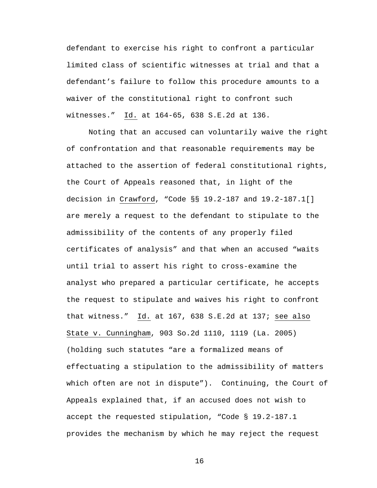defendant to exercise his right to confront a particular limited class of scientific witnesses at trial and that a defendant's failure to follow this procedure amounts to a waiver of the constitutional right to confront such witnesses." Id. at 164-65, 638 S.E.2d at 136.

Noting that an accused can voluntarily waive the right of confrontation and that reasonable requirements may be attached to the assertion of federal constitutional rights, the Court of Appeals reasoned that, in light of the decision in Crawford, "Code §§ 19.2-187 and 19.2-187.1[] are merely a request to the defendant to stipulate to the admissibility of the contents of any properly filed certificates of analysis" and that when an accused "waits until trial to assert his right to cross-examine the analyst who prepared a particular certificate, he accepts the request to stipulate and waives his right to confront that witness." Id. at 167, 638 S.E.2d at 137; see also State v. Cunningham, 903 So.2d 1110, 1119 (La. 2005) (holding such statutes "are a formalized means of effectuating a stipulation to the admissibility of matters which often are not in dispute"). Continuing, the Court of Appeals explained that, if an accused does not wish to accept the requested stipulation, "Code § 19.2-187.1 provides the mechanism by which he may reject the request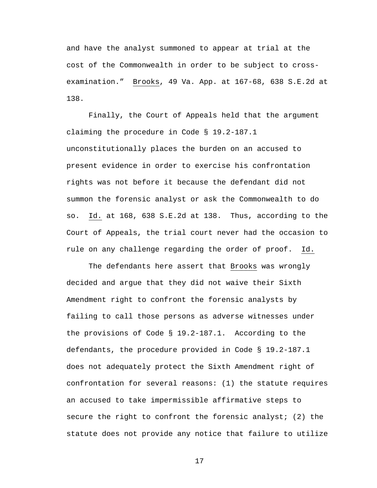and have the analyst summoned to appear at trial at the cost of the Commonwealth in order to be subject to crossexamination." Brooks, 49 Va. App. at 167-68, 638 S.E.2d at 138.

Finally, the Court of Appeals held that the argument claiming the procedure in Code § 19.2-187.1 unconstitutionally places the burden on an accused to present evidence in order to exercise his confrontation rights was not before it because the defendant did not summon the forensic analyst or ask the Commonwealth to do so. Id. at 168, 638 S.E.2d at 138. Thus, according to the Court of Appeals, the trial court never had the occasion to rule on any challenge regarding the order of proof. Id.

The defendants here assert that Brooks was wrongly decided and argue that they did not waive their Sixth Amendment right to confront the forensic analysts by failing to call those persons as adverse witnesses under the provisions of Code § 19.2-187.1. According to the defendants, the procedure provided in Code § 19.2-187.1 does not adequately protect the Sixth Amendment right of confrontation for several reasons: (1) the statute requires an accused to take impermissible affirmative steps to secure the right to confront the forensic analyst; (2) the statute does not provide any notice that failure to utilize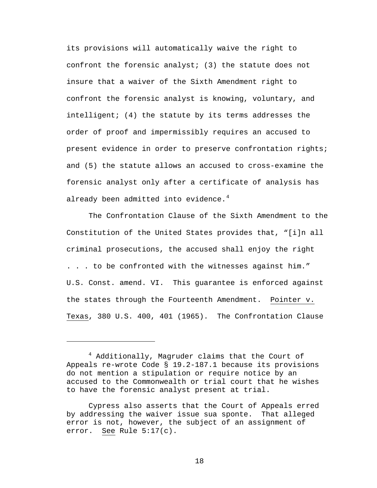its provisions will automatically waive the right to confront the forensic analyst; (3) the statute does not insure that a waiver of the Sixth Amendment right to confront the forensic analyst is knowing, voluntary, and intelligent; (4) the statute by its terms addresses the order of proof and impermissibly requires an accused to present evidence in order to preserve confrontation rights; and (5) the statute allows an accused to cross-examine the forensic analyst only after a certificate of analysis has already been admitted into evidence. $4$ 

The Confrontation Clause of the Sixth Amendment to the Constitution of the United States provides that, "[i]n all criminal prosecutions, the accused shall enjoy the right . . . to be confronted with the witnesses against him." U.S. Const. amend. VI. This guarantee is enforced against the states through the Fourteenth Amendment. Pointer v. Texas, 380 U.S. 400, 401 (1965). The Confrontation Clause

i<br>Li

<span id="page-17-0"></span><sup>4</sup> Additionally, Magruder claims that the Court of Appeals re-wrote Code § 19.2-187.1 because its provisions do not mention a stipulation or require notice by an accused to the Commonwealth or trial court that he wishes to have the forensic analyst present at trial.

Cypress also asserts that the Court of Appeals erred by addressing the waiver issue sua sponte. That alleged error is not, however, the subject of an assignment of error. See Rule 5:17(c).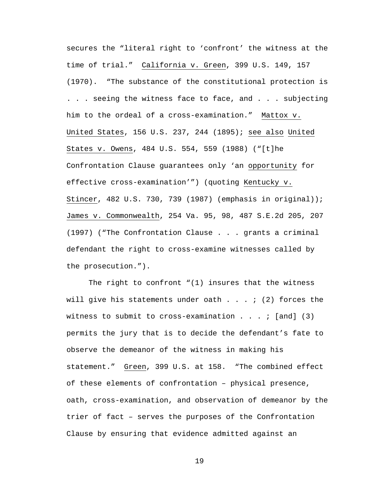secures the "literal right to 'confront' the witness at the time of trial." California v. Green, 399 U.S. 149, 157 (1970). "The substance of the constitutional protection is . . . seeing the witness face to face, and . . . subjecting him to the ordeal of a cross-examination." Mattox v. United States, 156 U.S. 237, 244 (1895); see also United States v. Owens, 484 U.S. 554, 559 (1988) ("[t]he Confrontation Clause guarantees only 'an opportunity for effective cross-examination'") (quoting Kentucky v. Stincer, 482 U.S. 730, 739 (1987) (emphasis in original)); James v. Commonwealth, 254 Va. 95, 98, 487 S.E.2d 205, 207 (1997) ("The Confrontation Clause . . . grants a criminal defendant the right to cross-examine witnesses called by the prosecution.").

The right to confront "(1) insures that the witness will give his statements under oath  $\ldots$  ; (2) forces the witness to submit to cross-examination  $\ldots$  . : [and] (3) permits the jury that is to decide the defendant's fate to observe the demeanor of the witness in making his statement." Green, 399 U.S. at 158. "The combined effect of these elements of confrontation – physical presence, oath, cross-examination, and observation of demeanor by the trier of fact – serves the purposes of the Confrontation Clause by ensuring that evidence admitted against an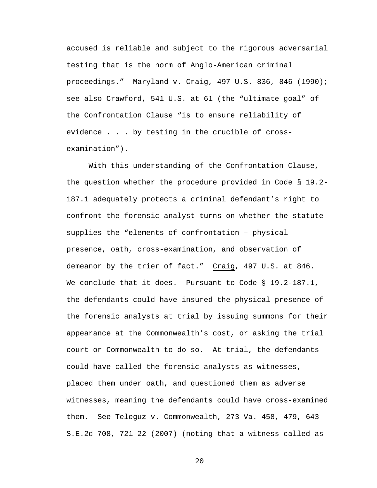accused is reliable and subject to the rigorous adversarial testing that is the norm of Anglo-American criminal proceedings." Maryland v. Craig, 497 U.S. 836, 846 (1990); see also Crawford, 541 U.S. at 61 (the "ultimate goal" of the Confrontation Clause "is to ensure reliability of evidence . . . by testing in the crucible of crossexamination").

With this understanding of the Confrontation Clause, the question whether the procedure provided in Code § 19.2- 187.1 adequately protects a criminal defendant's right to confront the forensic analyst turns on whether the statute supplies the "elements of confrontation – physical presence, oath, cross-examination, and observation of demeanor by the trier of fact." Craig, 497 U.S. at 846. We conclude that it does. Pursuant to Code § 19.2-187.1, the defendants could have insured the physical presence of the forensic analysts at trial by issuing summons for their appearance at the Commonwealth's cost, or asking the trial court or Commonwealth to do so. At trial, the defendants could have called the forensic analysts as witnesses, placed them under oath, and questioned them as adverse witnesses, meaning the defendants could have cross-examined them. See Teleguz v. Commonwealth, 273 Va. 458, 479, 643 S.E.2d 708, 721-22 (2007) (noting that a witness called as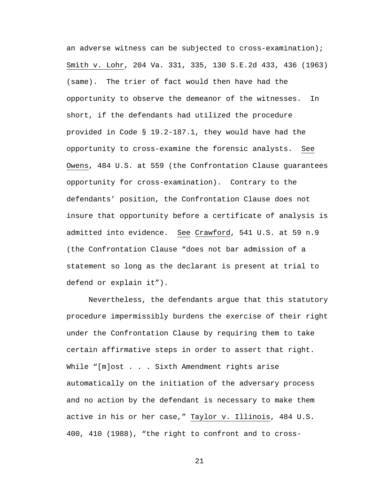an adverse witness can be subjected to cross-examination); Smith v. Lohr, 204 Va. 331, 335, 130 S.E.2d 433, 436 (1963) (same). The trier of fact would then have had the opportunity to observe the demeanor of the witnesses. In short, if the defendants had utilized the procedure provided in Code § 19.2-187.1, they would have had the opportunity to cross-examine the forensic analysts. See Owens, 484 U.S. at 559 (the Confrontation Clause guarantees opportunity for cross-examination). Contrary to the defendants' position, the Confrontation Clause does not insure that opportunity before a certificate of analysis is admitted into evidence. See Crawford, 541 U.S. at 59 n.9 (the Confrontation Clause "does not bar admission of a statement so long as the declarant is present at trial to defend or explain it").

Nevertheless, the defendants argue that this statutory procedure impermissibly burdens the exercise of their right under the Confrontation Clause by requiring them to take certain affirmative steps in order to assert that right. While "[m]ost . . . Sixth Amendment rights arise automatically on the initiation of the adversary process and no action by the defendant is necessary to make them active in his or her case," Taylor v. Illinois, 484 U.S. 400, 410 (1988), "the right to confront and to cross-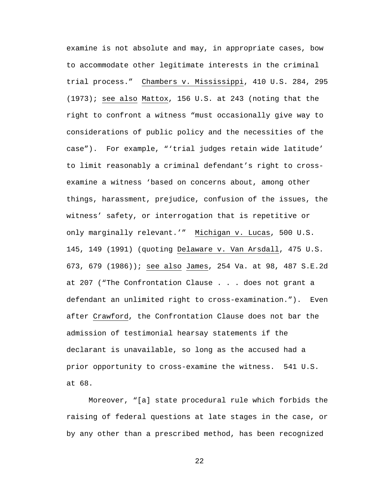examine is not absolute and may, in appropriate cases, bow to accommodate other legitimate interests in the criminal trial process." Chambers v. Mississippi, 410 U.S. 284, 295 (1973); see also Mattox, 156 U.S. at 243 (noting that the right to confront a witness "must occasionally give way to considerations of public policy and the necessities of the case"). For example, "'trial judges retain wide latitude' to limit reasonably a criminal defendant's right to crossexamine a witness 'based on concerns about, among other things, harassment, prejudice, confusion of the issues, the witness' safety, or interrogation that is repetitive or only marginally relevant.'" Michigan v. Lucas, 500 U.S. 145, 149 (1991) (quoting Delaware v. Van Arsdall, 475 U.S. 673, 679 (1986)); see also James, 254 Va. at 98, 487 S.E.2d at 207 ("The Confrontation Clause . . . does not grant a defendant an unlimited right to cross-examination."). Even after Crawford, the Confrontation Clause does not bar the admission of testimonial hearsay statements if the declarant is unavailable, so long as the accused had a prior opportunity to cross-examine the witness. 541 U.S. at 68.

Moreover, "[a] state procedural rule which forbids the raising of federal questions at late stages in the case, or by any other than a prescribed method, has been recognized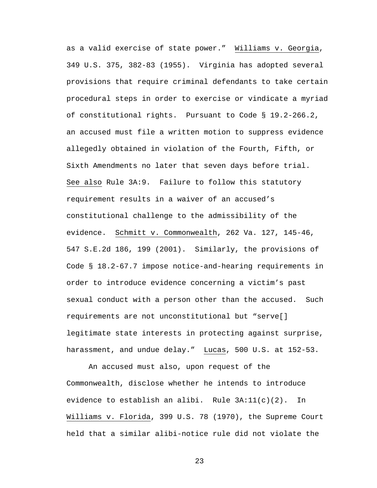as a valid exercise of state power." Williams v. Georgia, 349 U.S. 375, 382-83 (1955). Virginia has adopted several provisions that require criminal defendants to take certain procedural steps in order to exercise or vindicate a myriad of constitutional rights. Pursuant to Code § 19.2-266.2, an accused must file a written motion to suppress evidence allegedly obtained in violation of the Fourth, Fifth, or Sixth Amendments no later that seven days before trial. See also Rule 3A:9. Failure to follow this statutory requirement results in a waiver of an accused's constitutional challenge to the admissibility of the evidence. Schmitt v. Commonwealth, 262 Va. 127, 145-46, 547 S.E.2d 186, 199 (2001). Similarly, the provisions of Code § 18.2-67.7 impose notice-and-hearing requirements in order to introduce evidence concerning a victim's past sexual conduct with a person other than the accused. Such requirements are not unconstitutional but "serve[] legitimate state interests in protecting against surprise, harassment, and undue delay." Lucas, 500 U.S. at 152-53.

An accused must also, upon request of the Commonwealth, disclose whether he intends to introduce evidence to establish an alibi. Rule  $3A:11(c)(2)$ . In Williams v. Florida, 399 U.S. 78 (1970), the Supreme Court held that a similar alibi-notice rule did not violate the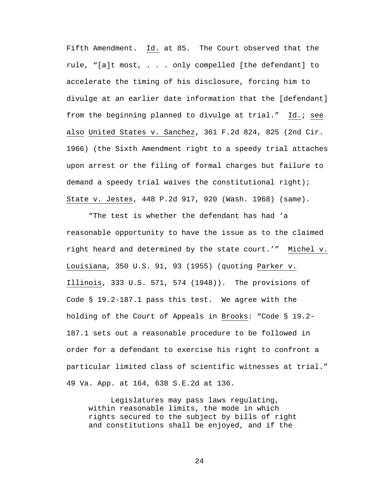Fifth Amendment. Id. at 85. The Court observed that the rule, "[a]t most, . . . only compelled [the defendant] to accelerate the timing of his disclosure, forcing him to divulge at an earlier date information that the [defendant] from the beginning planned to divulge at trial." Id.; see also United States v. Sanchez, 361 F.2d 824, 825 (2nd Cir. 1966) (the Sixth Amendment right to a speedy trial attaches upon arrest or the filing of formal charges but failure to demand a speedy trial waives the constitutional right); State v. Jestes, 448 P.2d 917, 920 (Wash. 1968) (same).

"The test is whether the defendant has had 'a reasonable opportunity to have the issue as to the claimed right heard and determined by the state court.'" Michel v. Louisiana, 350 U.S. 91, 93 (1955) (quoting Parker v. Illinois, 333 U.S. 571, 574 (1948)). The provisions of Code § 19.2-187.1 pass this test. We agree with the holding of the Court of Appeals in Brooks: "Code § 19.2- 187.1 sets out a reasonable procedure to be followed in order for a defendant to exercise his right to confront a particular limited class of scientific witnesses at trial." 49 Va. App. at 164, 638 S.E.2d at 136.

 Legislatures may pass laws regulating, within reasonable limits, the mode in which rights secured to the subject by bills of right and constitutions shall be enjoyed, and if the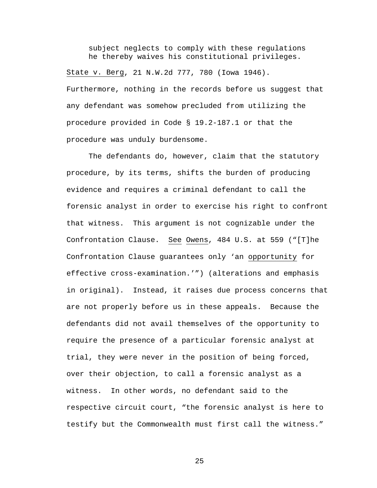subject neglects to comply with these regulations he thereby waives his constitutional privileges.

State v. Berg, 21 N.W.2d 777, 780 (Iowa 1946). Furthermore, nothing in the records before us suggest that any defendant was somehow precluded from utilizing the procedure provided in Code § 19.2-187.1 or that the procedure was unduly burdensome.

The defendants do, however, claim that the statutory procedure, by its terms, shifts the burden of producing evidence and requires a criminal defendant to call the forensic analyst in order to exercise his right to confront that witness. This argument is not cognizable under the Confrontation Clause. See Owens, 484 U.S. at 559 ("[T]he Confrontation Clause guarantees only 'an opportunity for effective cross-examination.'") (alterations and emphasis in original). Instead, it raises due process concerns that are not properly before us in these appeals. Because the defendants did not avail themselves of the opportunity to require the presence of a particular forensic analyst at trial, they were never in the position of being forced, over their objection, to call a forensic analyst as a witness. In other words, no defendant said to the respective circuit court, "the forensic analyst is here to testify but the Commonwealth must first call the witness."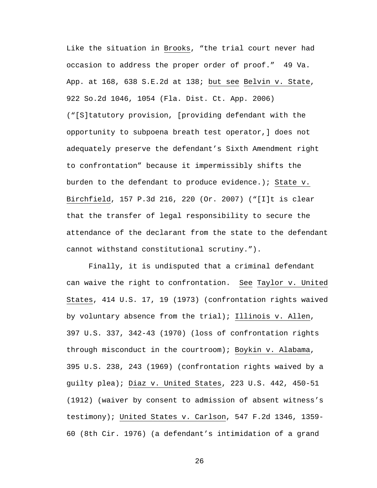Like the situation in Brooks, "the trial court never had occasion to address the proper order of proof." 49 Va. App. at 168, 638 S.E.2d at 138; but see Belvin v. State, 922 So.2d 1046, 1054 (Fla. Dist. Ct. App. 2006) ("[S]tatutory provision, [providing defendant with the opportunity to subpoena breath test operator,] does not adequately preserve the defendant's Sixth Amendment right to confrontation" because it impermissibly shifts the burden to the defendant to produce evidence.); State v. Birchfield, 157 P.3d 216, 220 (Or. 2007) ("[I]t is clear that the transfer of legal responsibility to secure the attendance of the declarant from the state to the defendant cannot withstand constitutional scrutiny.").

Finally, it is undisputed that a criminal defendant can waive the right to confrontation. See Taylor v. United States, 414 U.S. 17, 19 (1973) (confrontation rights waived by voluntary absence from the trial); Illinois v. Allen, 397 U.S. 337, 342-43 (1970) (loss of confrontation rights through misconduct in the courtroom); Boykin v. Alabama, 395 U.S. 238, 243 (1969) (confrontation rights waived by a guilty plea); Diaz v. United States, 223 U.S. 442, 450-51 (1912) (waiver by consent to admission of absent witness's testimony); United States v. Carlson, 547 F.2d 1346, 1359- 60 (8th Cir. 1976) (a defendant's intimidation of a grand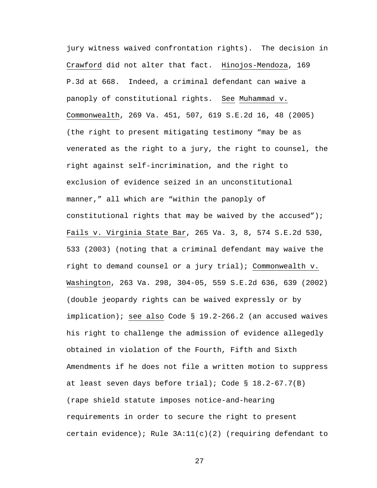jury witness waived confrontation rights). The decision in Crawford did not alter that fact. Hinojos-Mendoza, 169 P.3d at 668. Indeed, a criminal defendant can waive a panoply of constitutional rights. See Muhammad v. Commonwealth, 269 Va. 451, 507, 619 S.E.2d 16, 48 (2005) (the right to present mitigating testimony "may be as venerated as the right to a jury, the right to counsel, the right against self-incrimination, and the right to exclusion of evidence seized in an unconstitutional manner," all which are "within the panoply of constitutional rights that may be waived by the accused"); Fails v. Virginia State Bar, 265 Va. 3, 8, 574 S.E.2d 530, 533 (2003) (noting that a criminal defendant may waive the right to demand counsel or a jury trial); Commonwealth v. Washington, 263 Va. 298, 304-05, 559 S.E.2d 636, 639 (2002) (double jeopardy rights can be waived expressly or by implication); see also Code § 19.2-266.2 (an accused waives his right to challenge the admission of evidence allegedly obtained in violation of the Fourth, Fifth and Sixth Amendments if he does not file a written motion to suppress at least seven days before trial); Code § 18.2-67.7(B) (rape shield statute imposes notice-and-hearing requirements in order to secure the right to present certain evidence); Rule  $3A:11(c)(2)$  (requiring defendant to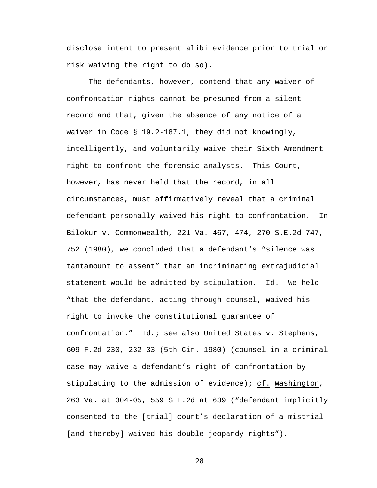disclose intent to present alibi evidence prior to trial or risk waiving the right to do so).

The defendants, however, contend that any waiver of confrontation rights cannot be presumed from a silent record and that, given the absence of any notice of a waiver in Code § 19.2-187.1, they did not knowingly, intelligently, and voluntarily waive their Sixth Amendment right to confront the forensic analysts. This Court, however, has never held that the record, in all circumstances, must affirmatively reveal that a criminal defendant personally waived his right to confrontation. In Bilokur v. Commonwealth, 221 Va. 467, 474, 270 S.E.2d 747, 752 (1980), we concluded that a defendant's "silence was tantamount to assent" that an incriminating extrajudicial statement would be admitted by stipulation. Id. We held "that the defendant, acting through counsel, waived his right to invoke the constitutional guarantee of confrontation." Id.; see also United States v. Stephens, 609 F.2d 230, 232-33 (5th Cir. 1980) (counsel in a criminal case may waive a defendant's right of confrontation by stipulating to the admission of evidence); cf. Washington, 263 Va. at 304-05, 559 S.E.2d at 639 ("defendant implicitly consented to the [trial] court's declaration of a mistrial [and thereby] waived his double jeopardy rights").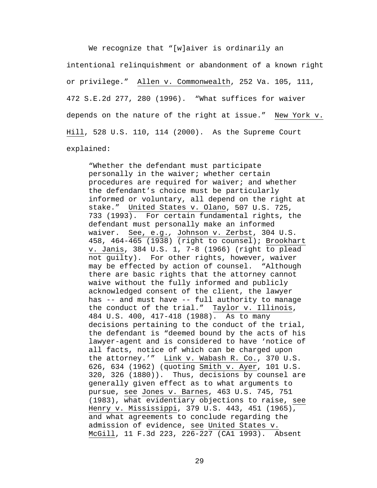We recognize that "[w]aiver is ordinarily an intentional relinquishment or abandonment of a known right or privilege." Allen v. Commonwealth, 252 Va. 105, 111, 472 S.E.2d 277, 280 (1996). "What suffices for waiver depends on the nature of the right at issue." New York v. Hill, 528 U.S. 110, 114 (2000). As the Supreme Court explained:

"Whether the defendant must participate personally in the waiver; whether certain procedures are required for waiver; and whether the defendant's choice must be particularly informed or voluntary, all depend on the right at stake."United States v. Olano, 507 U.S. 725, 733 (1993). For certain fundamental rights, the defendant must personally make an informed waiver. See, e.g.*,* Johnson v. Zerbst, 304 U.S. 458, 464-465 (1938) (right to counsel); Brookhart v. Janis, 384 U.S. 1, 7-8 (1966) (right to plead not guilty). For other rights, however, waiver may be effected by action of counsel. "Although there are basic rights that the attorney cannot waive without the fully informed and publicly acknowledged consent of the client, the lawyer has -- and must have -- full authority to manage the conduct of the trial." Taylor v. Illinois, 484 U.S. 400, 417-418 (1988). As to many decisions pertaining to the conduct of the trial, the defendant is "deemed bound by the acts of his lawyer-agent and is considered to have 'notice of all facts, notice of which can be charged upon the attorney.'" Link v. Wabash R. Co., 370 U.S. 626, 634 (1962) (quoting Smith v. Ayer, 101 U.S. 320, 326 (1880)). Thus, decisions by counsel are generally given effect as to what arguments to pursue, see Jones v. Barnes, 463 U.S. 745, 751 (1983), what evidentiary objections to raise, see Henry v. Mississippi, 379 U.S. 443, 451 (1965), and what agreements to conclude regarding the admission of evidence, see United States v. McGill, 11 F.3d 223, 226-227 (CA1 1993). Absent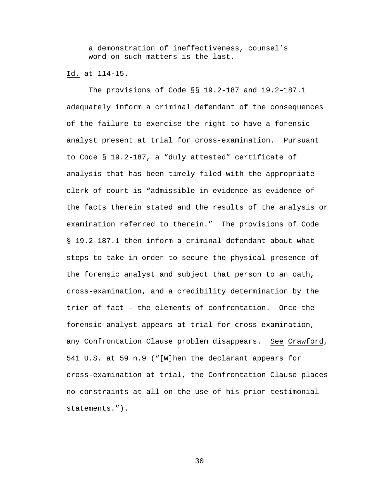a demonstration of ineffectiveness, counsel's word on such matters is the last.

### Id. at 114-15.

The provisions of Code §§ 19.2-187 and 19.2–187.1 adequately inform a criminal defendant of the consequences of the failure to exercise the right to have a forensic analyst present at trial for cross-examination. Pursuant to Code § 19.2-187, a "duly attested" certificate of analysis that has been timely filed with the appropriate clerk of court is "admissible in evidence as evidence of the facts therein stated and the results of the analysis or examination referred to therein." The provisions of Code § 19.2-187.1 then inform a criminal defendant about what steps to take in order to secure the physical presence of the forensic analyst and subject that person to an oath, cross-examination, and a credibility determination by the trier of fact - the elements of confrontation. Once the forensic analyst appears at trial for cross-examination, any Confrontation Clause problem disappears. See Crawford, 541 U.S. at 59 n.9 ("[W]hen the declarant appears for cross-examination at trial, the Confrontation Clause places no constraints at all on the use of his prior testimonial statements.").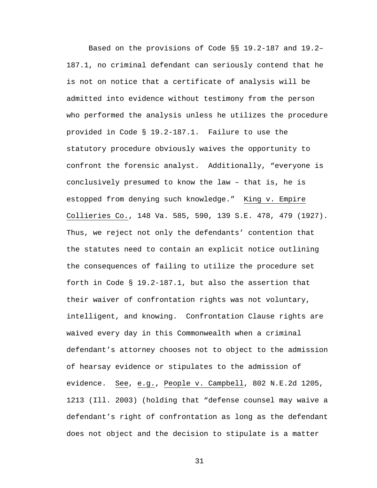Based on the provisions of Code §§ 19.2-187 and 19.2– 187.1, no criminal defendant can seriously contend that he is not on notice that a certificate of analysis will be admitted into evidence without testimony from the person who performed the analysis unless he utilizes the procedure provided in Code § 19.2-187.1. Failure to use the statutory procedure obviously waives the opportunity to confront the forensic analyst. Additionally, "everyone is conclusively presumed to know the law – that is, he is estopped from denying such knowledge." King v. Empire Collieries Co., 148 Va. 585, 590, 139 S.E. 478, 479 (1927). Thus, we reject not only the defendants' contention that the statutes need to contain an explicit notice outlining the consequences of failing to utilize the procedure set forth in Code § 19.2-187.1, but also the assertion that their waiver of confrontation rights was not voluntary, intelligent, and knowing. Confrontation Clause rights are waived every day in this Commonwealth when a criminal defendant's attorney chooses not to object to the admission of hearsay evidence or stipulates to the admission of evidence. See, e.g., People v. Campbell, 802 N.E.2d 1205, 1213 (Ill. 2003) (holding that "defense counsel may waive a defendant's right of confrontation as long as the defendant does not object and the decision to stipulate is a matter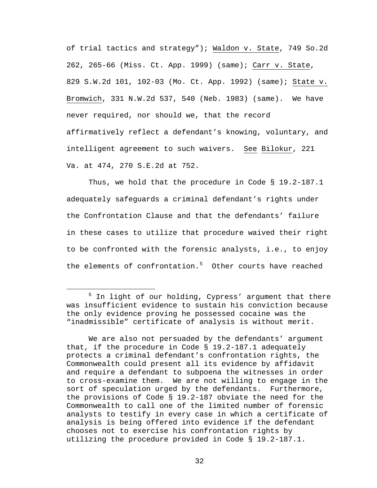of trial tactics and strategy"); Waldon v. State, 749 So.2d 262, 265-66 (Miss. Ct. App. 1999) (same); Carr v. State, 829 S.W.2d 101, 102-03 (Mo. Ct. App. 1992) (same); State v. Bromwich, 331 N.W.2d 537, 540 (Neb. 1983) (same). We have never required, nor should we, that the record affirmatively reflect a defendant's knowing, voluntary, and intelligent agreement to such waivers. See Bilokur, 221 Va. at 474, 270 S.E.2d at 752.

Thus, we hold that the procedure in Code § 19.2-187.1 adequately safeguards a criminal defendant's rights under the Confrontation Clause and that the defendants' failure in these cases to utilize that procedure waived their right to be confronted with the forensic analysts, i.e., to enjoy the elements of confrontation.<sup>[5](#page-31-0)</sup> Other courts have reached

<span id="page-31-0"></span> $\frac{1}{5}$  $5$  In light of our holding, Cypress' argument that there was insufficient evidence to sustain his conviction because the only evidence proving he possessed cocaine was the "inadmissible" certificate of analysis is without merit.

We are also not persuaded by the defendants' argument that, if the procedure in Code  $\S$  19.2-187.1 adequately protects a criminal defendant's confrontation rights, the Commonwealth could present all its evidence by affidavit and require a defendant to subpoena the witnesses in order to cross-examine them. We are not willing to engage in the sort of speculation urged by the defendants. Furthermore, the provisions of Code § 19.2-187 obviate the need for the Commonwealth to call one of the limited number of forensic analysts to testify in every case in which a certificate of analysis is being offered into evidence if the defendant chooses not to exercise his confrontation rights by utilizing the procedure provided in Code § 19.2-187.1.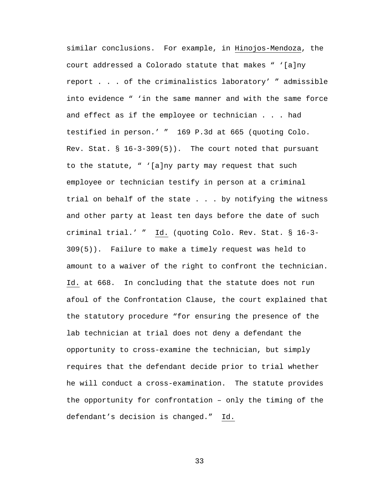similar conclusions. For example, in Hinojos-Mendoza, the court addressed a Colorado statute that makes " '[a]ny report . . . of the criminalistics laboratory' " admissible into evidence " 'in the same manner and with the same force and effect as if the employee or technician . . . had testified in person.' " 169 P.3d at 665 (quoting Colo. Rev. Stat. § 16-3-309(5)). The court noted that pursuant to the statute, " '[a]ny party may request that such employee or technician testify in person at a criminal trial on behalf of the state . . . by notifying the witness and other party at least ten days before the date of such criminal trial.' " Id. (quoting Colo. Rev. Stat. § 16-3- 309(5)). Failure to make a timely request was held to amount to a waiver of the right to confront the technician. Id. at 668. In concluding that the statute does not run afoul of the Confrontation Clause, the court explained that the statutory procedure "for ensuring the presence of the lab technician at trial does not deny a defendant the opportunity to cross-examine the technician, but simply requires that the defendant decide prior to trial whether he will conduct a cross-examination. The statute provides the opportunity for confrontation – only the timing of the defendant's decision is changed." Id.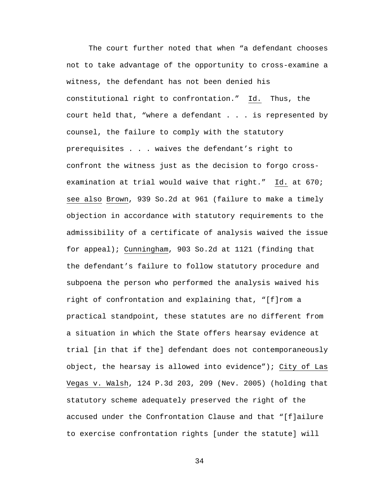The court further noted that when "a defendant chooses not to take advantage of the opportunity to cross-examine a witness, the defendant has not been denied his constitutional right to confrontation." Id. Thus, the court held that, "where a defendant . . . is represented by counsel, the failure to comply with the statutory prerequisites . . . waives the defendant's right to confront the witness just as the decision to forgo crossexamination at trial would waive that right." Id. at 670; see also Brown, 939 So.2d at 961 (failure to make a timely objection in accordance with statutory requirements to the admissibility of a certificate of analysis waived the issue for appeal); Cunningham, 903 So.2d at 1121 (finding that the defendant's failure to follow statutory procedure and subpoena the person who performed the analysis waived his right of confrontation and explaining that, "[f]rom a practical standpoint, these statutes are no different from a situation in which the State offers hearsay evidence at trial [in that if the] defendant does not contemporaneously object, the hearsay is allowed into evidence"); City of Las Vegas v. Walsh, 124 P.3d 203, 209 (Nev. 2005) (holding that statutory scheme adequately preserved the right of the accused under the Confrontation Clause and that "[f]ailure to exercise confrontation rights [under the statute] will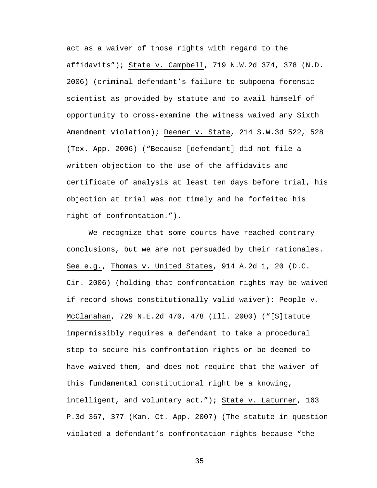act as a waiver of those rights with regard to the affidavits"); State v. Campbell, 719 N.W.2d 374, 378 (N.D. 2006) (criminal defendant's failure to subpoena forensic scientist as provided by statute and to avail himself of opportunity to cross-examine the witness waived any Sixth Amendment violation); Deener v. State, 214 S.W.3d 522, 528 (Tex. App. 2006) ("Because [defendant] did not file a written objection to the use of the affidavits and certificate of analysis at least ten days before trial, his objection at trial was not timely and he forfeited his right of confrontation.").

We recognize that some courts have reached contrary conclusions, but we are not persuaded by their rationales. See e.g., Thomas v. United States, 914 A.2d 1, 20 (D.C. Cir. 2006) (holding that confrontation rights may be waived if record shows constitutionally valid waiver); People v. McClanahan, 729 N.E.2d 470, 478 (Ill. 2000) ("[S]tatute impermissibly requires a defendant to take a procedural step to secure his confrontation rights or be deemed to have waived them, and does not require that the waiver of this fundamental constitutional right be a knowing, intelligent, and voluntary act."); State v. Laturner, 163 P.3d 367, 377 (Kan. Ct. App. 2007) (The statute in question violated a defendant's confrontation rights because "the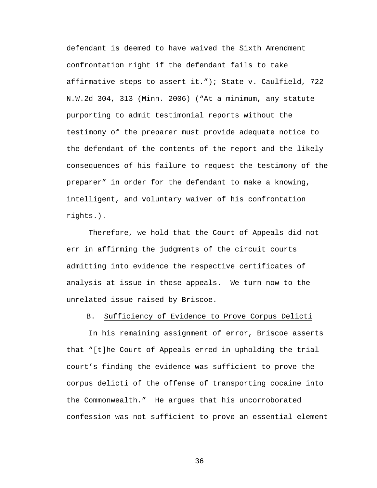defendant is deemed to have waived the Sixth Amendment confrontation right if the defendant fails to take affirmative steps to assert it."); State v. Caulfield, 722 N.W.2d 304, 313 (Minn. 2006) ("At a minimum, any statute purporting to admit testimonial reports without the testimony of the preparer must provide adequate notice to the defendant of the contents of the report and the likely consequences of his failure to request the testimony of the preparer" in order for the defendant to make a knowing, intelligent, and voluntary waiver of his confrontation rights.).

Therefore, we hold that the Court of Appeals did not err in affirming the judgments of the circuit courts admitting into evidence the respective certificates of analysis at issue in these appeals. We turn now to the unrelated issue raised by Briscoe.

B. Sufficiency of Evidence to Prove Corpus Delicti

 In his remaining assignment of error, Briscoe asserts that "[t]he Court of Appeals erred in upholding the trial court's finding the evidence was sufficient to prove the corpus delicti of the offense of transporting cocaine into the Commonwealth." He argues that his uncorroborated confession was not sufficient to prove an essential element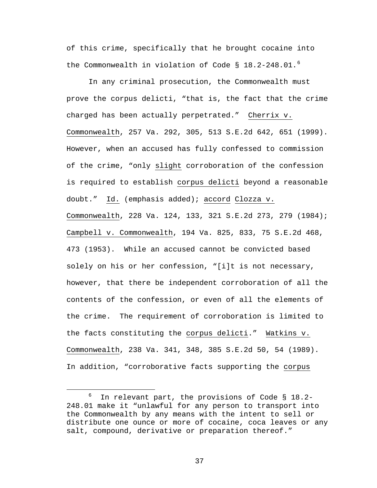of this crime, specifically that he brought cocaine into the Commonwealth in violation of Code  $\S$  18.2-248.01.<sup>[6](#page-36-0)</sup>

 In any criminal prosecution, the Commonwealth must prove the corpus delicti, "that is, the fact that the crime charged has been actually perpetrated." Cherrix v. Commonwealth, 257 Va. 292, 305, 513 S.E.2d 642, 651 (1999). However, when an accused has fully confessed to commission of the crime, "only slight corroboration of the confession is required to establish corpus delicti beyond a reasonable doubt." Id. (emphasis added); accord Clozza v. Commonwealth, 228 Va. 124, 133, 321 S.E.2d 273, 279 (1984); Campbell v. Commonwealth, 194 Va. 825, 833, 75 S.E.2d 468, 473 (1953). While an accused cannot be convicted based solely on his or her confession, "[i]t is not necessary, however, that there be independent corroboration of all the contents of the confession, or even of all the elements of the crime. The requirement of corroboration is limited to the facts constituting the corpus delicti." Watkins v. Commonwealth, 238 Va. 341, 348, 385 S.E.2d 50, 54 (1989). In addition, "corroborative facts supporting the corpus

<span id="page-36-0"></span> $\overline{\phantom{0}}$  $6$  In relevant part, the provisions of Code § 18.2-248.01 make it "unlawful for any person to transport into the Commonwealth by any means with the intent to sell or distribute one ounce or more of cocaine, coca leaves or any salt, compound, derivative or preparation thereof."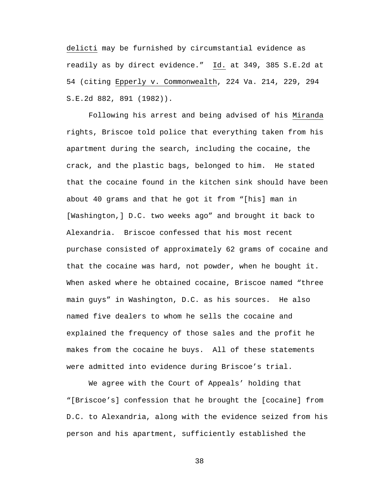delicti may be furnished by circumstantial evidence as readily as by direct evidence." Id. at 349, 385 S.E.2d at 54 (citing Epperly v. Commonwealth, 224 Va. 214, 229, 294 S.E.2d 882, 891 (1982)).

Following his arrest and being advised of his Miranda rights, Briscoe told police that everything taken from his apartment during the search, including the cocaine, the crack, and the plastic bags, belonged to him. He stated that the cocaine found in the kitchen sink should have been about 40 grams and that he got it from "[his] man in [Washington,] D.C. two weeks ago" and brought it back to Alexandria. Briscoe confessed that his most recent purchase consisted of approximately 62 grams of cocaine and that the cocaine was hard, not powder, when he bought it. When asked where he obtained cocaine, Briscoe named "three main guys" in Washington, D.C. as his sources. He also named five dealers to whom he sells the cocaine and explained the frequency of those sales and the profit he makes from the cocaine he buys. All of these statements were admitted into evidence during Briscoe's trial.

We agree with the Court of Appeals' holding that "[Briscoe's] confession that he brought the [cocaine] from D.C. to Alexandria, along with the evidence seized from his person and his apartment, sufficiently established the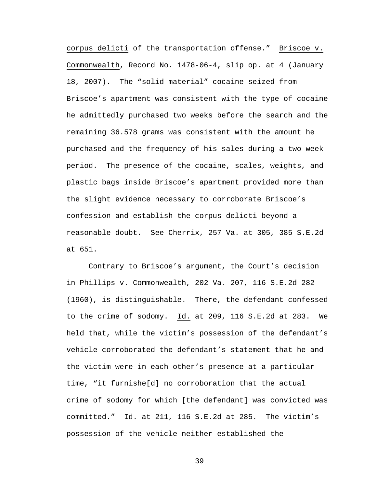corpus delicti of the transportation offense." Briscoe v. Commonwealth, Record No. 1478-06-4, slip op. at 4 (January 18, 2007). The "solid material" cocaine seized from Briscoe's apartment was consistent with the type of cocaine he admittedly purchased two weeks before the search and the remaining 36.578 grams was consistent with the amount he purchased and the frequency of his sales during a two-week period. The presence of the cocaine, scales, weights, and plastic bags inside Briscoe's apartment provided more than the slight evidence necessary to corroborate Briscoe's confession and establish the corpus delicti beyond a reasonable doubt. See Cherrix, 257 Va. at 305, 385 S.E.2d at 651.

Contrary to Briscoe's argument, the Court's decision in Phillips v. Commonwealth, 202 Va. 207, 116 S.E.2d 282 (1960), is distinguishable. There, the defendant confessed to the crime of sodomy. Id. at 209, 116 S.E.2d at 283. We held that, while the victim's possession of the defendant's vehicle corroborated the defendant's statement that he and the victim were in each other's presence at a particular time, "it furnishe[d] no corroboration that the actual crime of sodomy for which [the defendant] was convicted was committed." Id. at 211, 116 S.E.2d at 285. The victim's possession of the vehicle neither established the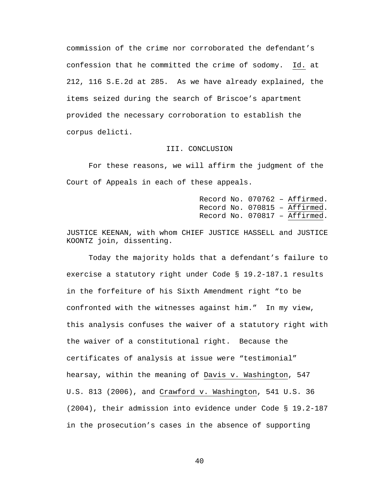commission of the crime nor corroborated the defendant's confession that he committed the crime of sodomy. Id. at 212, 116 S.E.2d at 285. As we have already explained, the items seized during the search of Briscoe's apartment provided the necessary corroboration to establish the corpus delicti.

## III. CONCLUSION

For these reasons, we will affirm the judgment of the Court of Appeals in each of these appeals.

> Record No. 070762 – Affirmed. Record No. 070815 – Affirmed. Record No. 070817 – Affirmed.

JUSTICE KEENAN, with whom CHIEF JUSTICE HASSELL and JUSTICE KOONTZ join, dissenting.

Today the majority holds that a defendant's failure to exercise a statutory right under Code § 19.2-187.1 results in the forfeiture of his Sixth Amendment right "to be confronted with the witnesses against him." In my view, this analysis confuses the waiver of a statutory right with the waiver of a constitutional right. Because the certificates of analysis at issue were "testimonial" hearsay, within the meaning of Davis v. Washington, 547 U.S. 813 (2006), and Crawford v. Washington, 541 U.S. 36 (2004), their admission into evidence under Code § 19.2-187 in the prosecution's cases in the absence of supporting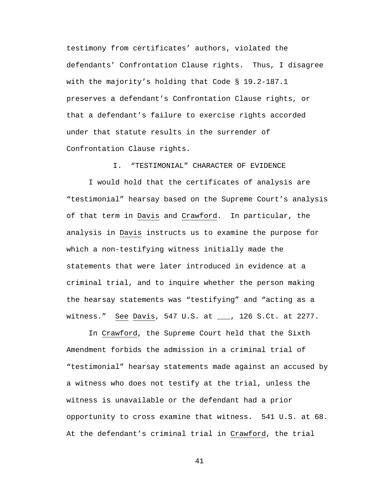testimony from certificates' authors, violated the defendants' Confrontation Clause rights. Thus, I disagree with the majority's holding that Code § 19.2-187.1 preserves a defendant's Confrontation Clause rights, or that a defendant's failure to exercise rights accorded under that statute results in the surrender of Confrontation Clause rights.

I. "TESTIMONIAL" CHARACTER OF EVIDENCE

I would hold that the certificates of analysis are "testimonial" hearsay based on the Supreme Court's analysis of that term in Davis and Crawford. In particular, the analysis in Davis instructs us to examine the purpose for which a non-testifying witness initially made the statements that were later introduced in evidence at a criminal trial, and to inquire whether the person making the hearsay statements was "testifying" and "acting as a witness." See Davis, 547 U.S. at \_\_\_, 126 S.Ct. at 2277.

In Crawford, the Supreme Court held that the Sixth Amendment forbids the admission in a criminal trial of "testimonial" hearsay statements made against an accused by a witness who does not testify at the trial, unless the witness is unavailable or the defendant had a prior opportunity to cross examine that witness. 541 U.S. at 68. At the defendant's criminal trial in Crawford, the trial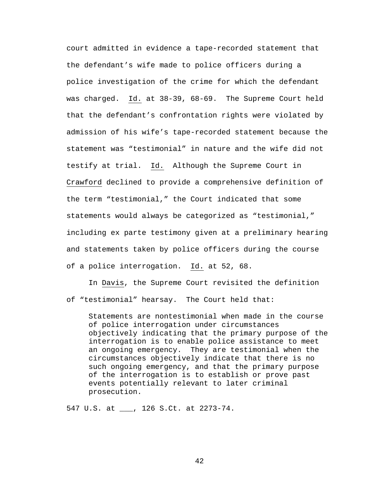court admitted in evidence a tape-recorded statement that the defendant's wife made to police officers during a police investigation of the crime for which the defendant was charged. Id. at 38-39, 68-69. The Supreme Court held that the defendant's confrontation rights were violated by admission of his wife's tape-recorded statement because the statement was "testimonial" in nature and the wife did not testify at trial. Id. Although the Supreme Court in Crawford declined to provide a comprehensive definition of the term "testimonial," the Court indicated that some statements would always be categorized as "testimonial," including ex parte testimony given at a preliminary hearing and statements taken by police officers during the course of a police interrogation. Id. at 52, 68.

In Davis, the Supreme Court revisited the definition of "testimonial" hearsay. The Court held that:

Statements are nontestimonial when made in the course of police interrogation under circumstances objectively indicating that the primary purpose of the interrogation is to enable police assistance to meet an ongoing emergency. They are testimonial when the circumstances objectively indicate that there is no such ongoing emergency, and that the primary purpose of the interrogation is to establish or prove past events potentially relevant to later criminal prosecution.

547 U.S. at \_\_\_, 126 S.Ct. at 2273-74.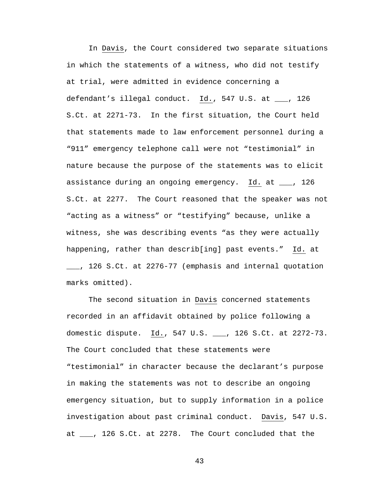In Davis, the Court considered two separate situations in which the statements of a witness, who did not testify at trial, were admitted in evidence concerning a defendant's illegal conduct. Id., 547 U.S. at \_\_\_, 126 S.Ct. at 2271-73. In the first situation, the Court held that statements made to law enforcement personnel during a "911" emergency telephone call were not "testimonial" in nature because the purpose of the statements was to elicit assistance during an ongoing emergency. Id. at \_\_\_, 126 S.Ct. at 2277. The Court reasoned that the speaker was not "acting as a witness" or "testifying" because, unlike a witness, she was describing events "as they were actually happening, rather than describ[ing] past events." Id. at \_\_\_, 126 S.Ct. at 2276-77 (emphasis and internal quotation marks omitted).

The second situation in Davis concerned statements recorded in an affidavit obtained by police following a domestic dispute. Id., 547 U.S. \_\_\_, 126 S.Ct. at 2272-73. The Court concluded that these statements were "testimonial" in character because the declarant's purpose in making the statements was not to describe an ongoing emergency situation, but to supply information in a police investigation about past criminal conduct. Davis, 547 U.S. at \_\_\_, 126 S.Ct. at 2278. The Court concluded that the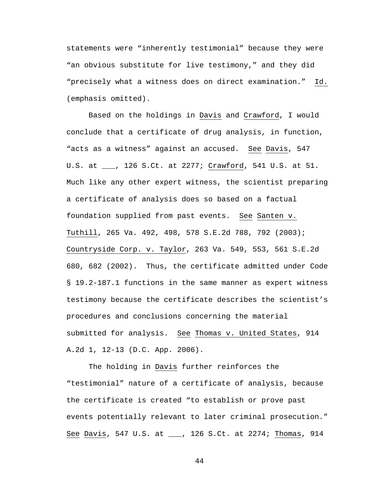statements were "inherently testimonial" because they were "an obvious substitute for live testimony," and they did "precisely what a witness does on direct examination." Id. (emphasis omitted).

Based on the holdings in Davis and Crawford, I would conclude that a certificate of drug analysis, in function, "acts as a witness" against an accused. See Davis, 547 U.S. at \_\_\_, 126 S.Ct. at 2277; Crawford, 541 U.S. at 51. Much like any other expert witness, the scientist preparing a certificate of analysis does so based on a factual foundation supplied from past events. See Santen v. Tuthill, 265 Va. 492, 498, 578 S.E.2d 788, 792 (2003); Countryside Corp. v. Taylor, 263 Va. 549, 553, 561 S.E.2d 680, 682 (2002). Thus, the certificate admitted under Code § 19.2-187.1 functions in the same manner as expert witness testimony because the certificate describes the scientist's procedures and conclusions concerning the material submitted for analysis. See Thomas v. United States, 914 A.2d 1, 12-13 (D.C. App. 2006).

The holding in Davis further reinforces the "testimonial" nature of a certificate of analysis, because the certificate is created "to establish or prove past events potentially relevant to later criminal prosecution." See Davis, 547 U.S. at \_\_\_, 126 S.Ct. at 2274; Thomas, 914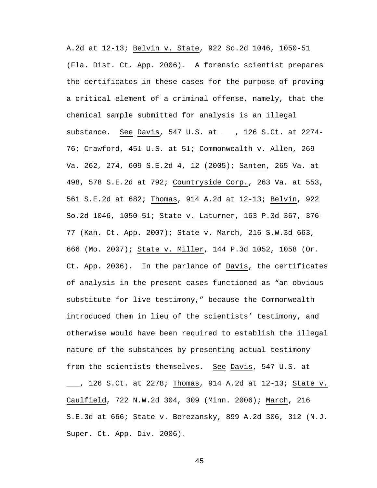A.2d at 12-13; Belvin v. State, 922 So.2d 1046, 1050-51 (Fla. Dist. Ct. App. 2006). A forensic scientist prepares the certificates in these cases for the purpose of proving a critical element of a criminal offense, namely, that the chemical sample submitted for analysis is an illegal substance. See Davis, 547 U.S. at \_\_\_, 126 S.Ct. at 2274- 76; Crawford, 451 U.S. at 51; Commonwealth v. Allen, 269 Va. 262, 274, 609 S.E.2d 4, 12 (2005); Santen, 265 Va. at 498, 578 S.E.2d at 792; Countryside Corp., 263 Va. at 553, 561 S.E.2d at 682; Thomas, 914 A.2d at 12-13; Belvin, 922 So.2d 1046, 1050-51; State v. Laturner, 163 P.3d 367, 376- 77 (Kan. Ct. App. 2007); State v. March, 216 S.W.3d 663, 666 (Mo. 2007); State v. Miller, 144 P.3d 1052, 1058 (Or. Ct. App. 2006). In the parlance of Davis, the certificates of analysis in the present cases functioned as "an obvious substitute for live testimony," because the Commonwealth introduced them in lieu of the scientists' testimony, and otherwise would have been required to establish the illegal nature of the substances by presenting actual testimony from the scientists themselves. See Davis, 547 U.S. at \_\_\_, 126 S.Ct. at 2278; Thomas, 914 A.2d at 12-13; State v. Caulfield, 722 N.W.2d 304, 309 (Minn. 2006); March, 216 S.E.3d at 666; State v. Berezansky, 899 A.2d 306, 312 (N.J. Super. Ct. App. Div. 2006).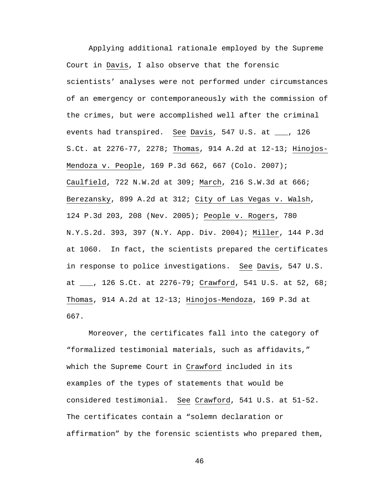Applying additional rationale employed by the Supreme Court in Davis, I also observe that the forensic scientists' analyses were not performed under circumstances of an emergency or contemporaneously with the commission of the crimes, but were accomplished well after the criminal events had transpired. See Davis, 547 U.S. at \_\_\_, 126 S.Ct. at 2276-77, 2278; Thomas, 914 A.2d at 12-13; Hinojos-Mendoza v. People, 169 P.3d 662, 667 (Colo. 2007); Caulfield, 722 N.W.2d at 309; March, 216 S.W.3d at 666; Berezansky, 899 A.2d at 312; City of Las Vegas v. Walsh, 124 P.3d 203, 208 (Nev. 2005); People v. Rogers, 780 N.Y.S.2d. 393, 397 (N.Y. App. Div. 2004); Miller, 144 P.3d at 1060. In fact, the scientists prepared the certificates in response to police investigations. See Davis, 547 U.S. at \_\_\_, 126 S.Ct. at 2276-79; Crawford, 541 U.S. at 52, 68; Thomas, 914 A.2d at 12-13; Hinojos-Mendoza, 169 P.3d at 667.

Moreover, the certificates fall into the category of "formalized testimonial materials, such as affidavits," which the Supreme Court in Crawford included in its examples of the types of statements that would be considered testimonial. See Crawford, 541 U.S. at 51-52. The certificates contain a "solemn declaration or affirmation" by the forensic scientists who prepared them,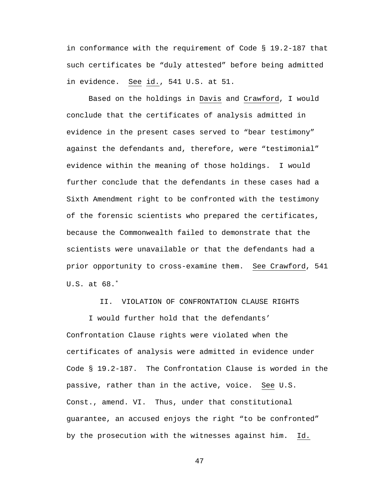in conformance with the requirement of Code § 19.2-187 that such certificates be "duly attested" before being admitted in evidence. See id., 541 U.S. at 51.

Based on the holdings in Davis and Crawford, I would conclude that the certificates of analysis admitted in evidence in the present cases served to "bear testimony" against the defendants and, therefore, were "testimonial" evidence within the meaning of those holdings. I would further conclude that the defendants in these cases had a Sixth Amendment right to be confronted with the testimony of the forensic scientists who prepared the certificates, because the Commonwealth failed to demonstrate that the scientists were unavailable or that the defendants had a prior opportunity to cross-examine them. See Crawford, 541 U.S. at 68.[∗](#page-53-0)

II. VIOLATION OF CONFRONTATION CLAUSE RIGHTS

I would further hold that the defendants' Confrontation Clause rights were violated when the certificates of analysis were admitted in evidence under Code § 19.2-187. The Confrontation Clause is worded in the passive, rather than in the active, voice. See U.S. Const., amend. VI. Thus, under that constitutional guarantee, an accused enjoys the right "to be confronted" by the prosecution with the witnesses against him. Id.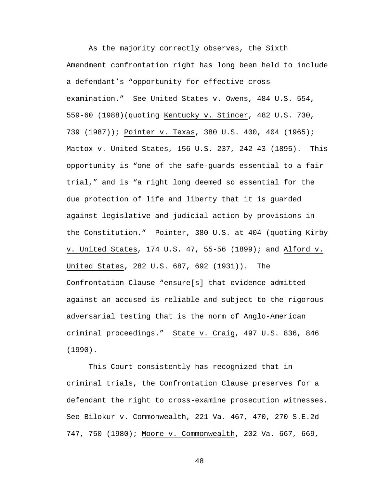As the majority correctly observes, the Sixth Amendment confrontation right has long been held to include a defendant's "opportunity for effective crossexamination." See United States v. Owens, 484 U.S. 554, 559-60 (1988)(quoting Kentucky v. Stincer, 482 U.S. 730, 739 (1987)); Pointer v. Texas, 380 U.S. 400, 404 (1965); Mattox v. United States, 156 U.S. 237, 242-43 (1895). This opportunity is "one of the safe-guards essential to a fair trial," and is "a right long deemed so essential for the due protection of life and liberty that it is guarded against legislative and judicial action by provisions in the Constitution." Pointer, 380 U.S. at 404 (quoting Kirby v. United States, 174 U.S. 47, 55-56 (1899); and Alford v. United States, 282 U.S. 687, 692 (1931)). The Confrontation Clause "ensure[s] that evidence admitted against an accused is reliable and subject to the rigorous adversarial testing that is the norm of Anglo-American criminal proceedings." State v. Craig, 497 U.S. 836, 846 (1990).

This Court consistently has recognized that in criminal trials, the Confrontation Clause preserves for a defendant the right to cross-examine prosecution witnesses. See Bilokur v. Commonwealth, 221 Va. 467, 470, 270 S.E.2d 747, 750 (1980); Moore v. Commonwealth, 202 Va. 667, 669,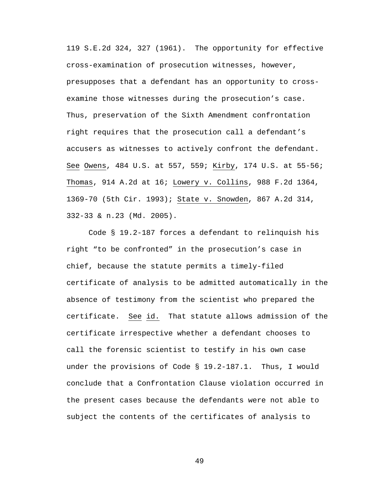119 S.E.2d 324, 327 (1961). The opportunity for effective cross-examination of prosecution witnesses, however, presupposes that a defendant has an opportunity to crossexamine those witnesses during the prosecution's case. Thus, preservation of the Sixth Amendment confrontation right requires that the prosecution call a defendant's accusers as witnesses to actively confront the defendant. See Owens, 484 U.S. at 557, 559; Kirby, 174 U.S. at 55-56; Thomas, 914 A.2d at 16; Lowery v. Collins, 988 F.2d 1364, 1369-70 (5th Cir. 1993); State v. Snowden, 867 A.2d 314, 332-33 & n.23 (Md. 2005).

Code § 19.2-187 forces a defendant to relinquish his right "to be confronted" in the prosecution's case in chief, because the statute permits a timely-filed certificate of analysis to be admitted automatically in the absence of testimony from the scientist who prepared the certificate. See id. That statute allows admission of the certificate irrespective whether a defendant chooses to call the forensic scientist to testify in his own case under the provisions of Code § 19.2-187.1. Thus, I would conclude that a Confrontation Clause violation occurred in the present cases because the defendants were not able to subject the contents of the certificates of analysis to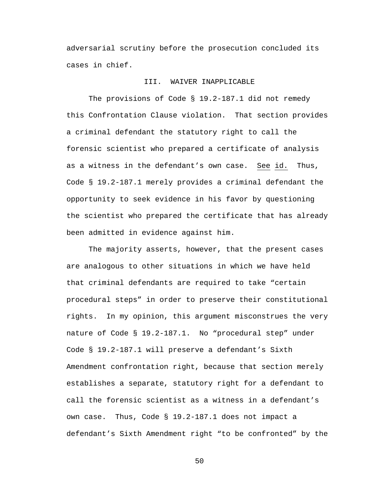adversarial scrutiny before the prosecution concluded its cases in chief.

# III. WAIVER INAPPLICABLE

The provisions of Code § 19.2-187.1 did not remedy this Confrontation Clause violation. That section provides a criminal defendant the statutory right to call the forensic scientist who prepared a certificate of analysis as a witness in the defendant's own case. See id. Thus, Code § 19.2-187.1 merely provides a criminal defendant the opportunity to seek evidence in his favor by questioning the scientist who prepared the certificate that has already been admitted in evidence against him.

The majority asserts, however, that the present cases are analogous to other situations in which we have held that criminal defendants are required to take "certain procedural steps" in order to preserve their constitutional rights. In my opinion, this argument misconstrues the very nature of Code § 19.2-187.1. No "procedural step" under Code § 19.2-187.1 will preserve a defendant's Sixth Amendment confrontation right, because that section merely establishes a separate, statutory right for a defendant to call the forensic scientist as a witness in a defendant's own case. Thus, Code § 19.2-187.1 does not impact a defendant's Sixth Amendment right "to be confronted" by the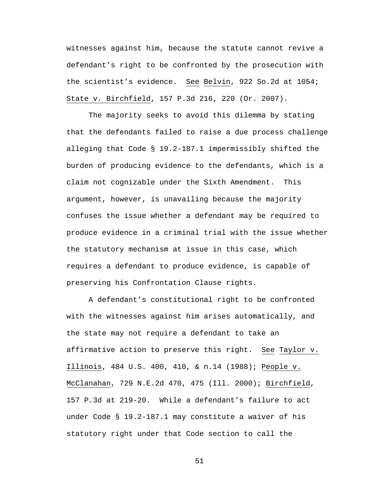witnesses against him, because the statute cannot revive a defendant's right to be confronted by the prosecution with the scientist's evidence. See Belvin, 922 So.2d at 1054; State v. Birchfield, 157 P.3d 216, 220 (Or. 2007).

The majority seeks to avoid this dilemma by stating that the defendants failed to raise a due process challenge alleging that Code § 19.2-187.1 impermissibly shifted the burden of producing evidence to the defendants, which is a claim not cognizable under the Sixth Amendment. This argument, however, is unavailing because the majority confuses the issue whether a defendant may be required to produce evidence in a criminal trial with the issue whether the statutory mechanism at issue in this case, which requires a defendant to produce evidence, is capable of preserving his Confrontation Clause rights.

A defendant's constitutional right to be confronted with the witnesses against him arises automatically, and the state may not require a defendant to take an affirmative action to preserve this right. See Taylor v. Illinois, 484 U.S. 400, 410, & n.14 (1988); People v. McClanahan, 729 N.E.2d 470, 475 (Ill. 2000); Birchfield, 157 P.3d at 219-20. While a defendant's failure to act under Code § 19.2-187.1 may constitute a waiver of his statutory right under that Code section to call the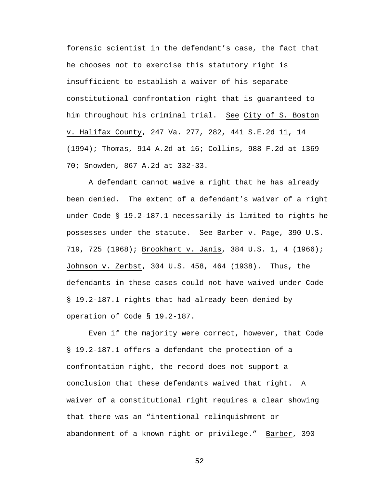forensic scientist in the defendant's case, the fact that he chooses not to exercise this statutory right is insufficient to establish a waiver of his separate constitutional confrontation right that is guaranteed to him throughout his criminal trial. See City of S. Boston v. Halifax County, 247 Va. 277, 282, 441 S.E.2d 11, 14 (1994); Thomas, 914 A.2d at 16; Collins, 988 F.2d at 1369- 70; Snowden, 867 A.2d at 332-33.

A defendant cannot waive a right that he has already been denied. The extent of a defendant's waiver of a right under Code § 19.2-187.1 necessarily is limited to rights he possesses under the statute. See Barber v. Page, 390 U.S. 719, 725 (1968); Brookhart v. Janis, 384 U.S. 1, 4 (1966); Johnson v. Zerbst, 304 U.S. 458, 464 (1938). Thus, the defendants in these cases could not have waived under Code § 19.2-187.1 rights that had already been denied by operation of Code § 19.2-187.

Even if the majority were correct, however, that Code § 19.2-187.1 offers a defendant the protection of a confrontation right, the record does not support a conclusion that these defendants waived that right. A waiver of a constitutional right requires a clear showing that there was an "intentional relinquishment or abandonment of a known right or privilege." Barber, 390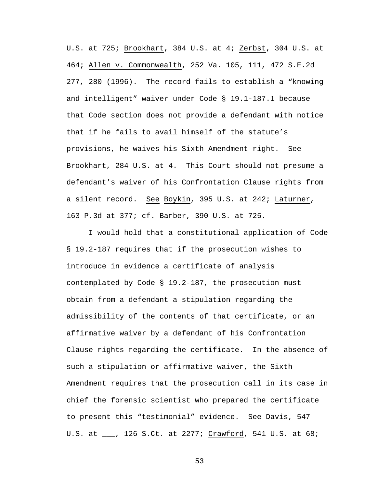U.S. at 725; Brookhart, 384 U.S. at 4; Zerbst, 304 U.S. at 464; Allen v. Commonwealth, 252 Va. 105, 111, 472 S.E.2d 277, 280 (1996). The record fails to establish a "knowing and intelligent" waiver under Code § 19.1-187.1 because that Code section does not provide a defendant with notice that if he fails to avail himself of the statute's provisions, he waives his Sixth Amendment right. See Brookhart, 284 U.S. at 4. This Court should not presume a defendant's waiver of his Confrontation Clause rights from a silent record. See Boykin, 395 U.S. at 242; Laturner, 163 P.3d at 377; cf. Barber, 390 U.S. at 725.

I would hold that a constitutional application of Code § 19.2-187 requires that if the prosecution wishes to introduce in evidence a certificate of analysis contemplated by Code § 19.2-187, the prosecution must obtain from a defendant a stipulation regarding the admissibility of the contents of that certificate, or an affirmative waiver by a defendant of his Confrontation Clause rights regarding the certificate. In the absence of such a stipulation or affirmative waiver, the Sixth Amendment requires that the prosecution call in its case in chief the forensic scientist who prepared the certificate to present this "testimonial" evidence. See Davis, 547 U.S. at \_\_\_, 126 S.Ct. at 2277; Crawford, 541 U.S. at 68;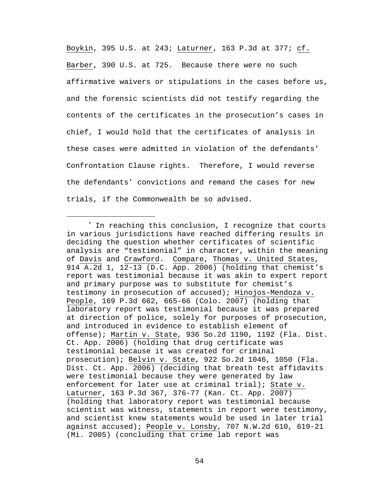Boykin, 395 U.S. at 243; Laturner, 163 P.3d at 377; cf. Barber, 390 U.S. at 725. Because there were no such affirmative waivers or stipulations in the cases before us, and the forensic scientists did not testify regarding the contents of the certificates in the prosecution's cases in chief, I would hold that the certificates of analysis in these cases were admitted in violation of the defendants' Confrontation Clause rights. Therefore, I would reverse the defendants' convictions and remand the cases for new trials, if the Commonwealth be so advised.

i

<span id="page-53-0"></span><sup>∗</sup> In reaching this conclusion, I recognize that courts in various jurisdictions have reached differing results in deciding the question whether certificates of scientific analysis are "testimonial" in character, within the meaning of Davis and Crawford. Compare, Thomas v. United States, 914 A.2d 1, 12-13 (D.C. App. 2006) (holding that chemist's report was testimonial because it was akin to expert report and primary purpose was to substitute for chemist's testimony in prosecution of accused); Hinojos-Mendoza v. People, 169 P.3d 662, 665-66 (Colo. 2007) (holding that laboratory report was testimonial because it was prepared at direction of police, solely for purposes of prosecution, and introduced in evidence to establish element of offense); Martin v. State, 936 So.2d 1190, 1192 (Fla. Dist. Ct. App. 2006) (holding that drug certificate was testimonial because it was created for criminal prosecution); Belvin v. State, 922 So.2d 1046, 1050 (Fla. Dist. Ct. App. 2006) (deciding that breath test affidavits were testimonial because they were generated by law enforcement for later use at criminal trial); State v. Laturner, 163 P.3d 367, 376-77 (Kan. Ct. App. 2007) (holding that laboratory report was testimonial because scientist was witness, statements in report were testimony, and scientist knew statements would be used in later trial against accused); People v. Lonsby, 707 N.W.2d 610, 619-21 (Mi. 2005) (concluding that crime lab report was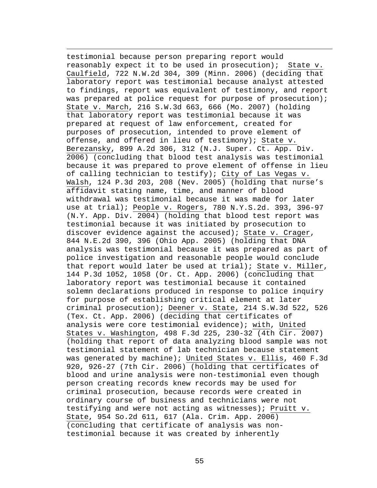testimonial because person preparing report would reasonably expect it to be used in prosecution); State v. Caulfield, 722 N.W.2d 304, 309 (Minn. 2006) (deciding that laboratory report was testimonial because analyst attested to findings, report was equivalent of testimony, and report was prepared at police request for purpose of prosecution); State v. March, 216 S.W.3d 663, 666 (Mo. 2007) (holding that laboratory report was testimonial because it was prepared at request of law enforcement, created for purposes of prosecution, intended to prove element of offense, and offered in lieu of testimony); State v. Berezansky, 899 A.2d 306, 312 (N.J. Super. Ct. App. Div. 2006) (concluding that blood test analysis was testimonial because it was prepared to prove element of offense in lieu of calling technician to testify); City of Las Vegas v. Walsh, 124 P.3d 203, 208 (Nev. 2005) (holding that nurse's affidavit stating name, time, and manner of blood withdrawal was testimonial because it was made for later use at trial); People v. Rogers, 780 N.Y.S.2d. 393, 396-97 (N.Y. App. Div. 2004) (holding that blood test report was testimonial because it was initiated by prosecution to discover evidence against the accused); State v. Crager, 844 N.E.2d 390, 396 (Ohio App. 2005) (holding that DNA analysis was testimonial because it was prepared as part of police investigation and reasonable people would conclude that report would later be used at trial); State v. Miller, 144 P.3d 1052, 1058 (Or. Ct. App. 2006) (concluding that laboratory report was testimonial because it contained solemn declarations produced in response to police inquiry for purpose of establishing critical element at later criminal prosecution); Deener v. State, 214 S.W.3d 522, 526 (Tex. Ct. App. 2006) (deciding that certificates of analysis were core testimonial evidence); with, United States v. Washington, 498 F.3d 225, 230-32 (4th Cir. 2007) (holding that report of data analyzing blood sample was not testimonial statement of lab technician because statement was generated by machine); United States v. Ellis, 460 F.3d 920, 926-27 (7th Cir. 2006) (holding that certificates of blood and urine analysis were non-testimonial even though person creating records knew records may be used for criminal prosecution, because records were created in ordinary course of business and technicians were not testifying and were not acting as witnesses); Pruitt v. State, 954 So.2d 611, 617 (Ala. Crim. App. 2006) (concluding that certificate of analysis was nontestimonial because it was created by inherently

i